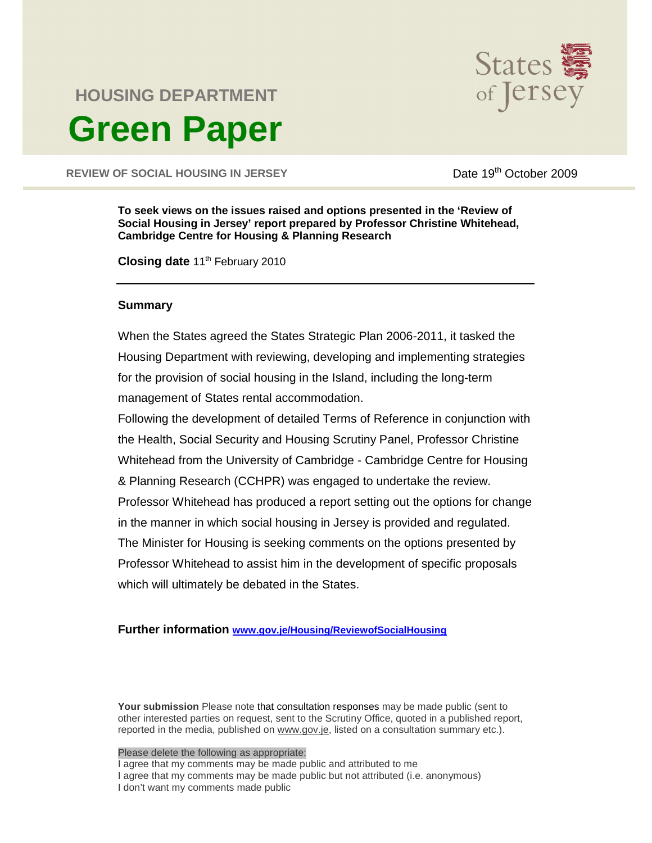

# **HOUSING DEPARTMENT Green Paper**

REVIEW OF SOCIAL HOUSING IN JERSEY DATE 19th October 2009

**To seek views on the issues raised and options presented in the 'Review of Social Housing in Jersey' report prepared by Professor Christine Whitehead, Cambridge Centre for Housing & Planning Research**

**Closing date 11<sup>th</sup> February 2010** 

### **Summary**

When the States agreed the States Strategic Plan 2006-2011, it tasked the Housing Department with reviewing, developing and implementing strategies for the provision of social housing in the Island, including the long-term management of States rental accommodation.

Following the development of detailed Terms of Reference in conjunction with the Health, Social Security and Housing Scrutiny Panel, Professor Christine Whitehead from the University of Cambridge - Cambridge Centre for Housing & Planning Research (CCHPR) was engaged to undertake the review. Professor Whitehead has produced a report setting out the options for change in the manner in which social housing in Jersey is provided and regulated. The Minister for Housing is seeking comments on the options presented by Professor Whitehead to assist him in the development of specific proposals which will ultimately be debated in the States.

**Further information www.gov.je/Housing/ReviewofSocialHousing**

**Your submission** Please note that consultation responses may be made public (sent to other interested parties on request, sent to the Scrutiny Office, quoted in a published report, reported in the media, published on www.gov.je, listed on a consultation summary etc.).

#### Please delete the following as appropriate:

I agree that my comments may be made public and attributed to me I agree that my comments may be made public but not attributed (i.e. anonymous) I don't want my comments made public